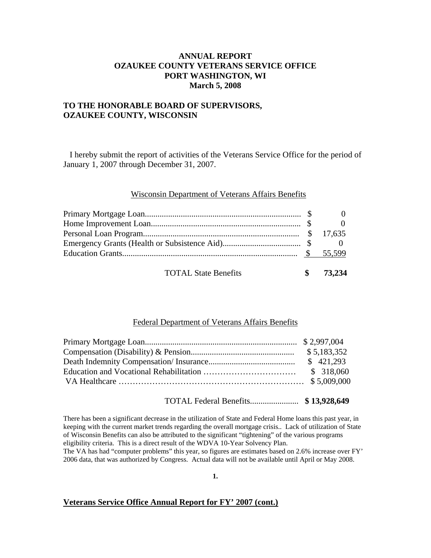# **ANNUAL REPORT OZAUKEE COUNTY VETERANS SERVICE OFFICE PORT WASHINGTON, WI March 5, 2008**

## **TO THE HONORABLE BOARD OF SUPERVISORS, OZAUKEE COUNTY, WISCONSIN**

 I hereby submit the report of activities of the Veterans Service Office for the period of January 1, 2007 through December 31, 2007.

#### Wisconsin Department of Veterans Affairs Benefits

| <b>TOTAL State Benefits</b> | 73.234 |
|-----------------------------|--------|

#### Federal Department of Veterans Affairs Benefits

TOTAL Federal Benefits....................... **\$ 13,928,649** 

There has been a significant decrease in the utilization of State and Federal Home loans this past year, in keeping with the current market trends regarding the overall mortgage crisis.. Lack of utilization of State of Wisconsin Benefits can also be attributed to the significant "tightening" of the various programs eligibility criteria. This is a direct result of the WDVA 10-Year Solvency Plan. The VA has had "computer problems" this year, so figures are estimates based on 2.6% increase over FY' 2006 data, that was authorized by Congress. Actual data will not be available until April or May 2008.

**1.** 

#### **Veterans Service Office Annual Report for FY' 2007 (cont.)**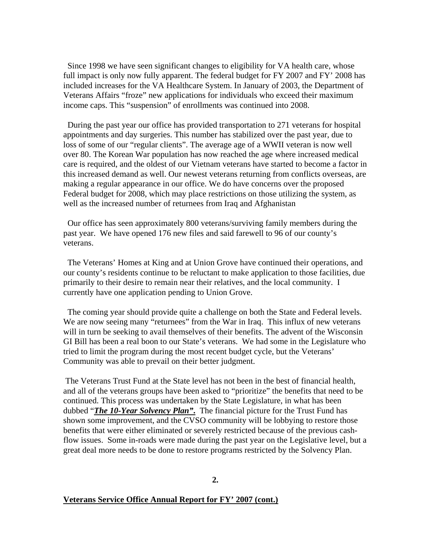Since 1998 we have seen significant changes to eligibility for VA health care, whose full impact is only now fully apparent. The federal budget for FY 2007 and FY' 2008 has included increases for the VA Healthcare System. In January of 2003, the Department of Veterans Affairs "froze" new applications for individuals who exceed their maximum income caps. This "suspension" of enrollments was continued into 2008.

 During the past year our office has provided transportation to 271 veterans for hospital appointments and day surgeries. This number has stabilized over the past year, due to loss of some of our "regular clients". The average age of a WWII veteran is now well over 80. The Korean War population has now reached the age where increased medical care is required, and the oldest of our Vietnam veterans have started to become a factor in this increased demand as well. Our newest veterans returning from conflicts overseas, are making a regular appearance in our office. We do have concerns over the proposed Federal budget for 2008, which may place restrictions on those utilizing the system, as well as the increased number of returnees from Iraq and Afghanistan

 Our office has seen approximately 800 veterans/surviving family members during the past year. We have opened 176 new files and said farewell to 96 of our county's veterans.

 The Veterans' Homes at King and at Union Grove have continued their operations, and our county's residents continue to be reluctant to make application to those facilities, due primarily to their desire to remain near their relatives, and the local community. I currently have one application pending to Union Grove.

 The coming year should provide quite a challenge on both the State and Federal levels. We are now seeing many "returnees" from the War in Iraq. This influx of new veterans will in turn be seeking to avail themselves of their benefits. The advent of the Wisconsin GI Bill has been a real boon to our State's veterans. We had some in the Legislature who tried to limit the program during the most recent budget cycle, but the Veterans' Community was able to prevail on their better judgment.

 The Veterans Trust Fund at the State level has not been in the best of financial health, and all of the veterans groups have been asked to "prioritize" the benefits that need to be continued. This process was undertaken by the State Legislature, in what has been dubbed "*The 10-Year Solvency Plan"***.** The financial picture for the Trust Fund has shown some improvement, and the CVSO community will be lobbying to restore those benefits that were either eliminated or severely restricted because of the previous cashflow issues. Some in-roads were made during the past year on the Legislative level, but a great deal more needs to be done to restore programs restricted by the Solvency Plan.

### **Veterans Service Office Annual Report for FY' 2007 (cont.)**